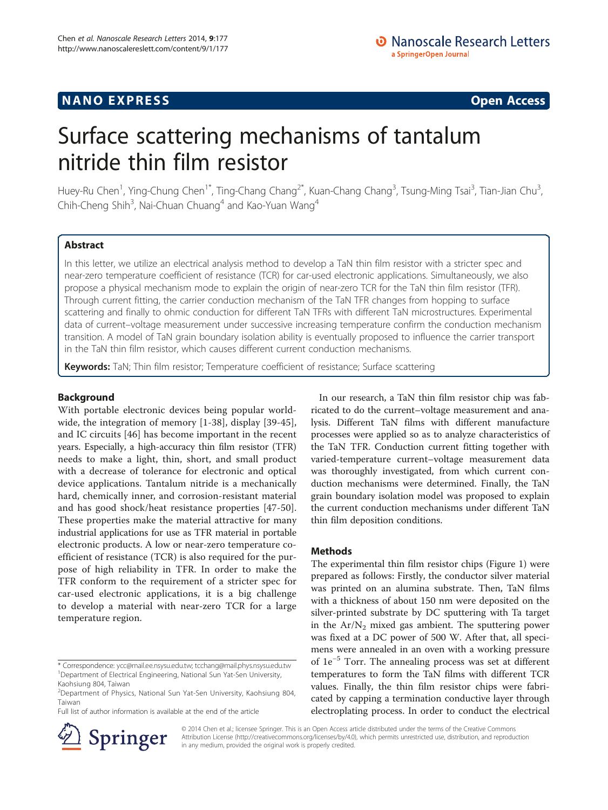## **NANO EXPRESS** Open Access and the set of the set of the set of the set of the set of the set of the set of the set of the set of the set of the set of the set of the set of the set of the set of the set of the set of the

# Surface scattering mechanisms of tantalum nitride thin film resistor

Huey-Ru Chen<sup>1</sup>, Ying-Chung Chen<sup>1\*</sup>, Ting-Chang Chang<sup>2\*</sup>, Kuan-Chang Chang<sup>3</sup>, Tsung-Ming Tsai<sup>3</sup>, Tian-Jian Chu<sup>3</sup> , Chih-Cheng Shih<sup>3</sup>, Nai-Chuan Chuang<sup>4</sup> and Kao-Yuan Wang<sup>4</sup>

## Abstract

In this letter, we utilize an electrical analysis method to develop a TaN thin film resistor with a stricter spec and near-zero temperature coefficient of resistance (TCR) for car-used electronic applications. Simultaneously, we also propose a physical mechanism mode to explain the origin of near-zero TCR for the TaN thin film resistor (TFR). Through current fitting, the carrier conduction mechanism of the TaN TFR changes from hopping to surface scattering and finally to ohmic conduction for different TaN TFRs with different TaN microstructures. Experimental data of current–voltage measurement under successive increasing temperature confirm the conduction mechanism transition. A model of TaN grain boundary isolation ability is eventually proposed to influence the carrier transport in the TaN thin film resistor, which causes different current conduction mechanisms.

Keywords: TaN; Thin film resistor; Temperature coefficient of resistance; Surface scattering

## Background

With portable electronic devices being popular worldwide, the integration of memory [[1-](#page-3-0)[38\]](#page-4-0), display [\[39](#page-4-0)-[45](#page-4-0)], and IC circuits [[46\]](#page-4-0) has become important in the recent years. Especially, a high-accuracy thin film resistor (TFR) needs to make a light, thin, short, and small product with a decrease of tolerance for electronic and optical device applications. Tantalum nitride is a mechanically hard, chemically inner, and corrosion-resistant material and has good shock/heat resistance properties [\[47](#page-4-0)-[50](#page-4-0)]. These properties make the material attractive for many industrial applications for use as TFR material in portable electronic products. A low or near-zero temperature coefficient of resistance (TCR) is also required for the purpose of high reliability in TFR. In order to make the TFR conform to the requirement of a stricter spec for car-used electronic applications, it is a big challenge to develop a material with near-zero TCR for a large temperature region.

Full list of author information is available at the end of the article



In our research, a TaN thin film resistor chip was fabricated to do the current–voltage measurement and analysis. Different TaN films with different manufacture processes were applied so as to analyze characteristics of the TaN TFR. Conduction current fitting together with varied-temperature current–voltage measurement data was thoroughly investigated, from which current conduction mechanisms were determined. Finally, the TaN grain boundary isolation model was proposed to explain the current conduction mechanisms under different TaN thin film deposition conditions.

## **Methods**

The experimental thin film resistor chips (Figure [1](#page-1-0)) were prepared as follows: Firstly, the conductor silver material was printed on an alumina substrate. Then, TaN films with a thickness of about 150 nm were deposited on the silver-printed substrate by DC sputtering with Ta target in the  $Ar/N<sub>2</sub>$  mixed gas ambient. The sputtering power was fixed at a DC power of 500 W. After that, all specimens were annealed in an oven with a working pressure of 1e−<sup>5</sup> Torr. The annealing process was set at different temperatures to form the TaN films with different TCR values. Finally, the thin film resistor chips were fabricated by capping a termination conductive layer through electroplating process. In order to conduct the electrical

© 2014 Chen et al.; licensee Springer. This is an Open Access article distributed under the terms of the Creative Commons Attribution License [\(http://creativecommons.org/licenses/by/4.0\)](http://creativecommons.org/licenses/by/4.0), which permits unrestricted use, distribution, and reproduction in any medium, provided the original work is properly credited.

<sup>\*</sup> Correspondence: [ycc@mail.ee.nsysu.edu.tw;](mailto:ycc@mail.ee.nsysu.edu.tw) [tcchang@mail.phys.nsysu.edu.tw](mailto:tcchang@mail.phys.nsysu.edu.tw) <sup>1</sup> <sup>1</sup>Department of Electrical Engineering, National Sun Yat-Sen University, Kaohsiung 804, Taiwan

<sup>2</sup> Department of Physics, National Sun Yat-Sen University, Kaohsiung 804, Taiwan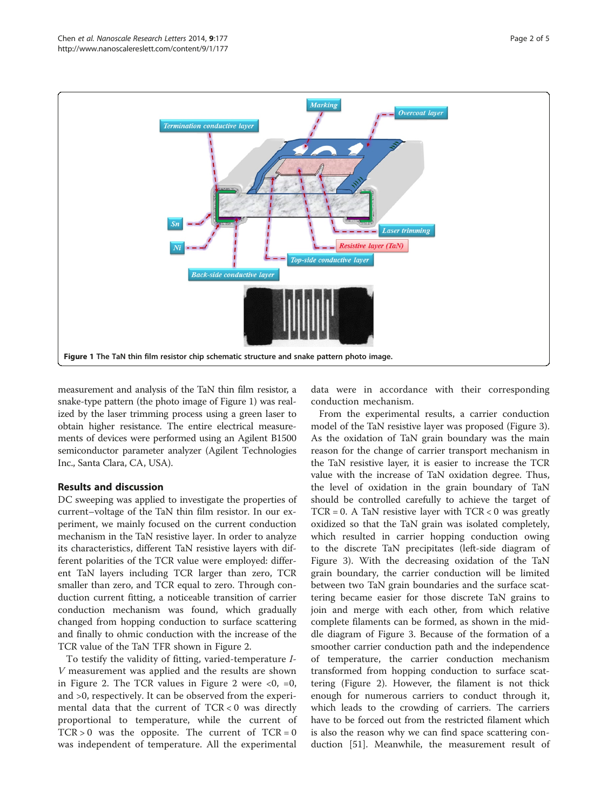<span id="page-1-0"></span>

measurement and analysis of the TaN thin film resistor, a snake-type pattern (the photo image of Figure 1) was realized by the laser trimming process using a green laser to obtain higher resistance. The entire electrical measurements of devices were performed using an Agilent B1500 semiconductor parameter analyzer (Agilent Technologies Inc., Santa Clara, CA, USA).

## Results and discussion

DC sweeping was applied to investigate the properties of current–voltage of the TaN thin film resistor. In our experiment, we mainly focused on the current conduction mechanism in the TaN resistive layer. In order to analyze its characteristics, different TaN resistive layers with different polarities of the TCR value were employed: different TaN layers including TCR larger than zero, TCR smaller than zero, and TCR equal to zero. Through conduction current fitting, a noticeable transition of carrier conduction mechanism was found, which gradually changed from hopping conduction to surface scattering and finally to ohmic conduction with the increase of the TCR value of the TaN TFR shown in Figure [2](#page-2-0).

To testify the validity of fitting, varied-temperature I-V measurement was applied and the results are shown in Figure [2.](#page-2-0) The TCR values in Figure [2](#page-2-0) were  $<0$ ,  $=0$ , and >0, respectively. It can be observed from the experimental data that the current of TCR < 0 was directly proportional to temperature, while the current of  $TCR > 0$  was the opposite. The current of  $TCR = 0$ was independent of temperature. All the experimental data were in accordance with their corresponding conduction mechanism.

From the experimental results, a carrier conduction model of the TaN resistive layer was proposed (Figure [3](#page-2-0)). As the oxidation of TaN grain boundary was the main reason for the change of carrier transport mechanism in the TaN resistive layer, it is easier to increase the TCR value with the increase of TaN oxidation degree. Thus, the level of oxidation in the grain boundary of TaN should be controlled carefully to achieve the target of  $TCR = 0$ . A TaN resistive layer with  $TCR < 0$  was greatly oxidized so that the TaN grain was isolated completely, which resulted in carrier hopping conduction owing to the discrete TaN precipitates (left-side diagram of Figure [3\)](#page-2-0). With the decreasing oxidation of the TaN grain boundary, the carrier conduction will be limited between two TaN grain boundaries and the surface scattering became easier for those discrete TaN grains to join and merge with each other, from which relative complete filaments can be formed, as shown in the middle diagram of Figure [3](#page-2-0). Because of the formation of a smoother carrier conduction path and the independence of temperature, the carrier conduction mechanism transformed from hopping conduction to surface scattering (Figure [2\)](#page-2-0). However, the filament is not thick enough for numerous carriers to conduct through it, which leads to the crowding of carriers. The carriers have to be forced out from the restricted filament which is also the reason why we can find space scattering conduction [\[51](#page-4-0)]. Meanwhile, the measurement result of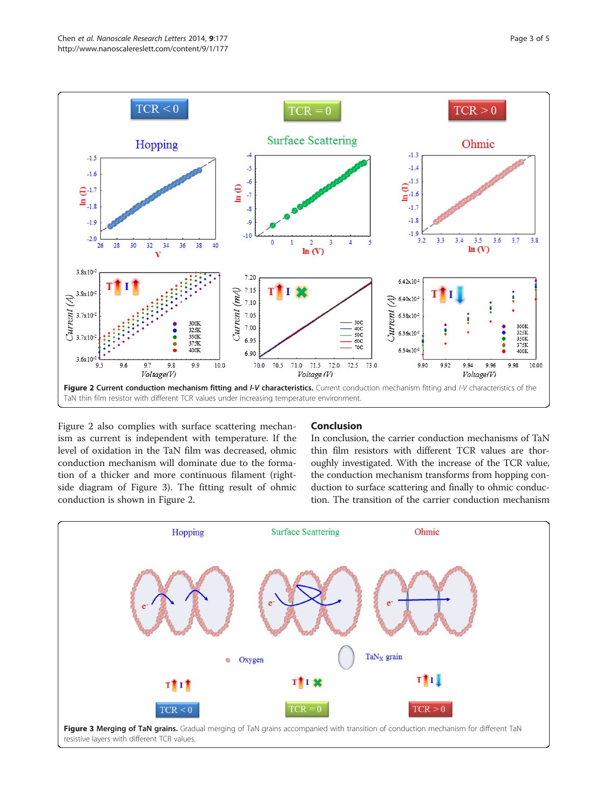<span id="page-2-0"></span>

Figure 2 also complies with surface scattering mechanism as current is independent with temperature. If the level of oxidation in the TaN film was decreased, ohmic conduction mechanism will dominate due to the formation of a thicker and more continuous filament (rightside diagram of Figure 3). The fitting result of ohmic conduction is shown in Figure 2.

### Conclusion

In conclusion, the carrier conduction mechanisms of TaN thin film resistors with different TCR values are thoroughly investigated. With the increase of the TCR value, the conduction mechanism transforms from hopping conduction to surface scattering and finally to ohmic conduction. The transition of the carrier conduction mechanism

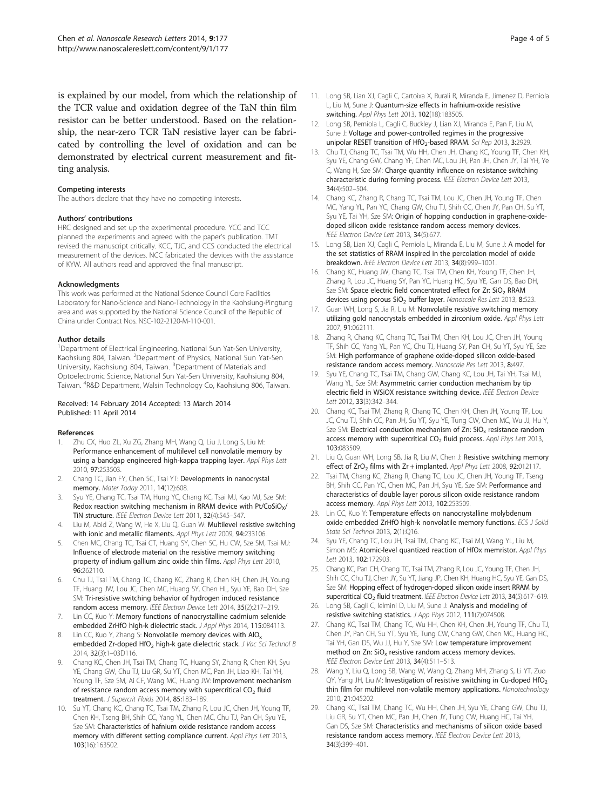<span id="page-3-0"></span>is explained by our model, from which the relationship of the TCR value and oxidation degree of the TaN thin film resistor can be better understood. Based on the relationship, the near-zero TCR TaN resistive layer can be fabricated by controlling the level of oxidation and can be demonstrated by electrical current measurement and fitting analysis.

#### Competing interests

The authors declare that they have no competing interests.

#### Authors' contributions

HRC designed and set up the experimental procedure. YCC and TCC planned the experiments and agreed with the paper's publication. TMT revised the manuscript critically. KCC, TJC, and CCS conducted the electrical measurement of the devices. NCC fabricated the devices with the assistance of KYW. All authors read and approved the final manuscript.

#### Acknowledgments

This work was performed at the National Science Council Core Facilities Laboratory for Nano-Science and Nano-Technology in the Kaohsiung-Pingtung area and was supported by the National Science Council of the Republic of China under Contract Nos. NSC-102-2120-M-110-001.

#### Author details

<sup>1</sup>Department of Electrical Engineering, National Sun Yat-Sen University, Kaohsiung 804, Taiwan. <sup>2</sup>Department of Physics, National Sun Yat-Sen University, Kaohsiung 804, Taiwan. <sup>3</sup>Department of Materials and Optoelectronic Science, National Sun Yat-Sen University, Kaohsiung 804, Taiwan. <sup>4</sup>R&D Department, Walsin Technology Co, Kaohsiung 806, Taiwan.

#### Received: 14 February 2014 Accepted: 13 March 2014 Published: 11 April 2014

#### References

- Zhu CX, Huo ZL, Xu ZG, Zhang MH, Wang Q, Liu J, Long S, Liu M: Performance enhancement of multilevel cell nonvolatile memory by using a bandgap engineered high-kappa trapping layer. Appl Phys Lett 2010, 97:253503.
- 2. Chang TC, Jian FY, Chen SC, Tsai YT: Developments in nanocrystal memory. Mater Today 2011, 14(12):608.
- 3. Syu YE, Chang TC, Tsai TM, Hung YC, Chang KC, Tsai MJ, Kao MJ, Sze SM: Redox reaction switching mechanism in RRAM device with Pt/CoSiO $_{x}$ / TiN structure. IEEE Electron Device Lett 2011, 32(4):545–547.
- 4. Liu M, Abid Z, Wang W, He X, Liu Q, Guan W: Multilevel resistive switching with ionic and metallic filaments. Appl Phys Lett 2009, 94:233106.
- 5. Chen MC, Chang TC, Tsai CT, Huang SY, Chen SC, Hu CW, Sze SM, Tsai MJ: Influence of electrode material on the resistive memory switching property of indium gallium zinc oxide thin films. Appl Phys Lett 2010, 96:262110.
- 6. Chu TJ, Tsai TM, Chang TC, Chang KC, Zhang R, Chen KH, Chen JH, Young TF, Huang JW, Lou JC, Chen MC, Huang SY, Chen HL, Syu YE, Bao DH, Sze SM: Tri-resistive switching behavior of hydrogen induced resistance random access memory. IEEE Electron Device Lett 2014, 35(2):217–219.
- 7. Lin CC, Kuo Y: Memory functions of nanocrystalline cadmium selenide embedded ZrHfO high-k dielectric stack. J Appl Phys 2014, 115:084113.
- 8. Lin CC, Kuo Y, Zhang S: Nonvolatile memory devices with AlO<sub>x</sub> embedded Zr-doped HfO<sub>2</sub> high-k gate dielectric stack. J Vac Sci Technol B 2014, 32(3):1–03D116.
- 9. Chang KC, Chen JH, Tsai TM, Chang TC, Huang SY, Zhang R, Chen KH, Syu YE, Chang GW, Chu TJ, Liu GR, Su YT, Chen MC, Pan JH, Liao KH, Tai YH, Young TF, Sze SM, Ai CF, Wang MC, Huang JW: Improvement mechanism of resistance random access memory with supercritical  $CO<sub>2</sub>$  fluid treatment. J Supercrit Fluids 2014, 85:183–189.
- 10. Su YT, Chang KC, Chang TC, Tsai TM, Zhang R, Lou JC, Chen JH, Young TF, Chen KH, Tseng BH, Shih CC, Yang YL, Chen MC, Chu TJ, Pan CH, Syu YE, Sze SM: Characteristics of hafnium oxide resistance random access memory with different setting compliance current. Appl Phys Lett 2013, 103(16):163502.
- 11. Long SB, Lian XJ, Cagli C, Cartoixa X, Rurali R, Miranda E, Jimenez D, Perniola L, Liu M, Sune J: Quantum-size effects in hafnium-oxide resistive switching. Appl Phys Lett 2013, 102(18):183505.
- 12. Long SB, Perniola L, Cagli C, Buckley J, Lian XJ, Miranda E, Pan F, Liu M, Sune J: Voltage and power-controlled regimes in the progressive unipolar RESET transition of HfO<sub>2</sub>-based RRAM. Sci Rep 2013, 3:2929.
- 13. Chu TJ, Chang TC, Tsai TM, Wu HH, Chen JH, Chang KC, Young TF, Chen KH, Syu YE, Chang GW, Chang YF, Chen MC, Lou JH, Pan JH, Chen JY, Tai YH, Ye C, Wang H, Sze SM: Charge quantity influence on resistance switching characteristic during forming process. IEEE Electron Device Lett 2013, 34(4):502–504.
- 14. Chang KC, Zhang R, Chang TC, Tsai TM, Lou JC, Chen JH, Young TF, Chen MC, Yang YL, Pan YC, Chang GW, Chu TJ, Shih CC, Chen JY, Pan CH, Su YT, Syu YE, Tai YH, Sze SM: Origin of hopping conduction in graphene-oxidedoped silicon oxide resistance random access memory devices. IEEE Electron Device Lett 2013, 34(5):677.
- 15. Long SB, Lian XJ, Cagli C, Perniola L, Miranda E, Liu M, Sune J: A model for the set statistics of RRAM inspired in the percolation model of oxide breakdown. IEEE Electron Device Lett 2013, 34(8):999–1001.
- 16. Chang KC, Huang JW, Chang TC, Tsai TM, Chen KH, Young TF, Chen JH, Zhang R, Lou JC, Huang SY, Pan YC, Huang HC, Syu YE, Gan DS, Bao DH, Sze SM: Space electric field concentrated effect for Zr:  $SiO<sub>2</sub>$  RRAM devices using porous SiO<sub>2</sub> buffer layer. Nanoscale Res Lett 2013, 8:523.
- 17. Guan WH, Long S, Jia R, Liu M: Nonvolatile resistive switching memory utilizing gold nanocrystals embedded in zirconium oxide. Appl Phys Lett 2007, 91:062111.
- 18. Zhang R, Chang KC, Chang TC, Tsai TM, Chen KH, Lou JC, Chen JH, Young TF, Shih CC, Yang YL, Pan YC, Chu TJ, Huang SY, Pan CH, Su YT, Syu YE, Sze SM: High performance of graphene oxide-doped silicon oxide-based resistance random access memory. Nanoscale Res Lett 2013, 8:497.
- 19. Syu YE, Chang TC, Tsai TM, Chang GW, Chang KC, Lou JH, Tai YH, Tsai MJ, Wang YL, Sze SM: Asymmetric carrier conduction mechanism by tip electric field in WSiOX resistance switching device. IEEE Electron Device Lett 2012, 33(3):342–344.
- 20. Chang KC, Tsai TM, Zhang R, Chang TC, Chen KH, Chen JH, Young TF, Lou JC, Chu TJ, Shih CC, Pan JH, Su YT, Syu YE, Tung CW, Chen MC, Wu JJ, Hu Y, Sze SM: Electrical conduction mechanism of Zn: SiO<sub>x</sub> resistance random access memory with supercritical  $CO<sub>2</sub>$  fluid process. Appl Phys Lett 2013, 103:083509.
- 21. Liu Q, Guan WH, Long SB, Jia R, Liu M, Chen J: Resistive switching memory effect of  $ZrO<sub>2</sub>$  films with  $Zr$  + implanted. Appl Phys Lett 2008, 92:012117.
- 22. Tsai TM, Chang KC, Zhang R, Chang TC, Lou JC, Chen JH, Young TF, Tseng BH, Shih CC, Pan YC, Chen MC, Pan JH, Syu YE, Sze SM: Performance and characteristics of double layer porous silicon oxide resistance random access memory. Appl Phys Lett 2013, 102:253509.
- 23. Lin CC, Kuo Y: Temperature effects on nanocrystalline molybdenum oxide embedded ZrHfO high-k nonvolatile memory functions. ECS J Solid State Sci Technol 2013, 2(1):Q16.
- 24. Syu YE, Chang TC, Lou JH, Tsai TM, Chang KC, Tsai MJ, Wang YL, Liu M, Simon MS: Atomic-level quantized reaction of HfOx memristor. Appl Phys Lett 2013, 102:172903.
- 25. Chang KC, Pan CH, Chang TC, Tsai TM, Zhang R, Lou JC, Young TF, Chen JH, Shih CC, Chu TJ, Chen JY, Su YT, Jiang JP, Chen KH, Huang HC, Syu YE, Gan DS, Sze SM: Hopping effect of hydrogen-doped silicon oxide insert RRAM by supercritical CO<sub>2</sub> fluid treatment. IEEE Electron Device Lett 2013, 34(5):617-619.
- 26. Long SB, Cagli C, Ielmini D, Liu M, Sune J: Analysis and modeling of resistive switching statistics. J App Phys 2012, 111(7):074508.
- 27. Chang KC, Tsai TM, Chang TC, Wu HH, Chen KH, Chen JH, Young TF, Chu TJ, Chen JY, Pan CH, Su YT, Syu YE, Tung CW, Chang GW, Chen MC, Huang HC, Tai YH, Gan DS, Wu JJ, Hu Y, Sze SM: Low temperature improvement method on Zn:  $SiO<sub>x</sub>$  resistive random access memory devices. IEEE Electron Device Lett 2013, 34(4):511–513.
- 28. Wang Y, Liu Q, Long SB, Wang W, Wang Q, Zhang MH, Zhang S, Li YT, Zuo  $QY$ , Yang JH, Liu M: Investigation of resistive switching in Cu-doped HfO<sub>2</sub> thin film for multilevel non-volatile memory applications. Nanotechnology 2010, 21:045202.
- 29. Chang KC, Tsai TM, Chang TC, Wu HH, Chen JH, Syu YE, Chang GW, Chu TJ, Liu GR, Su YT, Chen MC, Pan JH, Chen JY, Tung CW, Huang HC, Tai YH, Gan DS, Sze SM: Characteristics and mechanisms of silicon oxide based resistance random access memory. IEEE Electron Device Lett 2013, 34(3):399–401.